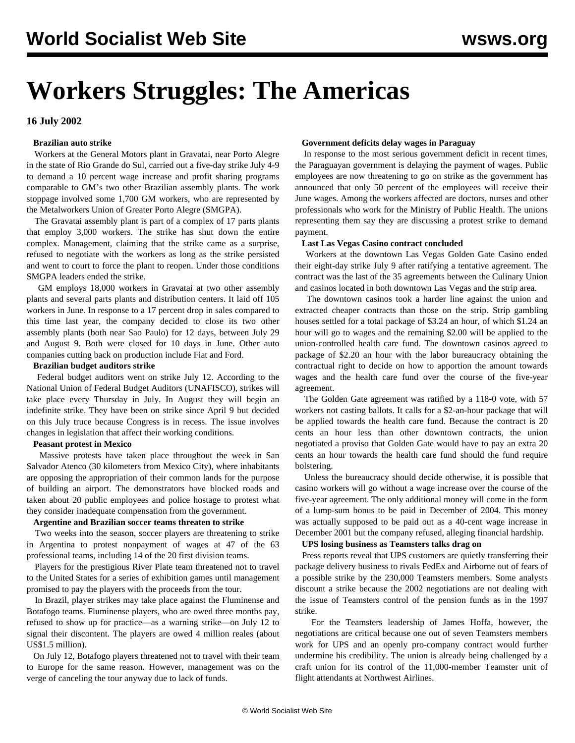# **Workers Struggles: The Americas**

# **16 July 2002**

# **Brazilian auto strike**

 Workers at the General Motors plant in Gravatai, near Porto Alegre in the state of Rio Grande do Sul, carried out a five-day strike July 4-9 to demand a 10 percent wage increase and profit sharing programs comparable to GM's two other Brazilian assembly plants. The work stoppage involved some 1,700 GM workers, who are represented by the Metalworkers Union of Greater Porto Alegre (SMGPA).

 The Gravatai assembly plant is part of a complex of 17 parts plants that employ 3,000 workers. The strike has shut down the entire complex. Management, claiming that the strike came as a surprise, refused to negotiate with the workers as long as the strike persisted and went to court to force the plant to reopen. Under those conditions SMGPA leaders ended the strike.

 GM employs 18,000 workers in Gravatai at two other assembly plants and several parts plants and distribution centers. It laid off 105 workers in June. In response to a 17 percent drop in sales compared to this time last year, the company decided to close its two other assembly plants (both near Sao Paulo) for 12 days, between July 29 and August 9. Both were closed for 10 days in June. Other auto companies cutting back on production include Fiat and Ford.

## **Brazilian budget auditors strike**

 Federal budget auditors went on strike July 12. According to the National Union of Federal Budget Auditors (UNAFISCO), strikes will take place every Thursday in July. In August they will begin an indefinite strike. They have been on strike since April 9 but decided on this July truce because Congress is in recess. The issue involves changes in legislation that affect their working conditions.

# **Peasant protest in Mexico**

 Massive protests have taken place throughout the week in San Salvador Atenco (30 kilometers from Mexico City), where inhabitants are opposing the appropriation of their common lands for the purpose of building an airport. The demonstrators have blocked roads and taken about 20 public employees and police hostage to protest what they consider inadequate compensation from the government.

#### **Argentine and Brazilian soccer teams threaten to strike**

 Two weeks into the season, soccer players are threatening to strike in Argentina to protest nonpayment of wages at 47 of the 63 professional teams, including 14 of the 20 first division teams.

 Players for the prestigious River Plate team threatened not to travel to the United States for a series of exhibition games until management promised to pay the players with the proceeds from the tour.

 In Brazil, player strikes may take place against the Fluminense and Botafogo teams. Fluminense players, who are owed three months pay, refused to show up for practice—as a warning strike—on July 12 to signal their discontent. The players are owed 4 million reales (about US\$1.5 million).

 On July 12, Botafogo players threatened not to travel with their team to Europe for the same reason. However, management was on the verge of canceling the tour anyway due to lack of funds.

#### **Government deficits delay wages in Paraguay**

 In response to the most serious government deficit in recent times, the Paraguayan government is delaying the payment of wages. Public employees are now threatening to go on strike as the government has announced that only 50 percent of the employees will receive their June wages. Among the workers affected are doctors, nurses and other professionals who work for the Ministry of Public Health. The unions representing them say they are discussing a protest strike to demand payment.

#### **Last Las Vegas Casino contract concluded**

 Workers at the downtown Las Vegas Golden Gate Casino ended their eight-day strike July 9 after ratifying a tentative agreement. The contract was the last of the 35 agreements between the Culinary Union and casinos located in both downtown Las Vegas and the strip area.

 The downtown casinos took a harder line against the union and extracted cheaper contracts than those on the strip. Strip gambling houses settled for a total package of \$3.24 an hour, of which \$1.24 an hour will go to wages and the remaining \$2.00 will be applied to the union-controlled health care fund. The downtown casinos agreed to package of \$2.20 an hour with the labor bureaucracy obtaining the contractual right to decide on how to apportion the amount towards wages and the health care fund over the course of the five-year agreement.

 The Golden Gate agreement was ratified by a 118-0 vote, with 57 workers not casting ballots. It calls for a \$2-an-hour package that will be applied towards the health care fund. Because the contract is 20 cents an hour less than other downtown contracts, the union negotiated a proviso that Golden Gate would have to pay an extra 20 cents an hour towards the health care fund should the fund require bolstering.

 Unless the bureaucracy should decide otherwise, it is possible that casino workers will go without a wage increase over the course of the five-year agreement. The only additional money will come in the form of a lump-sum bonus to be paid in December of 2004. This money was actually supposed to be paid out as a 40-cent wage increase in December 2001 but the company refused, alleging financial hardship.

#### **UPS losing business as Teamsters talks drag on**

 Press reports reveal that UPS customers are quietly transferring their package delivery business to rivals FedEx and Airborne out of fears of a possible strike by the 230,000 Teamsters members. Some analysts discount a strike because the 2002 negotiations are not dealing with the issue of Teamsters control of the pension funds as in the 1997 strike.

 For the Teamsters leadership of James Hoffa, however, the negotiations are critical because one out of seven Teamsters members work for UPS and an openly pro-company contract would further undermine his credibility. The union is already being challenged by a craft union for its control of the 11,000-member Teamster unit of flight attendants at Northwest Airlines.